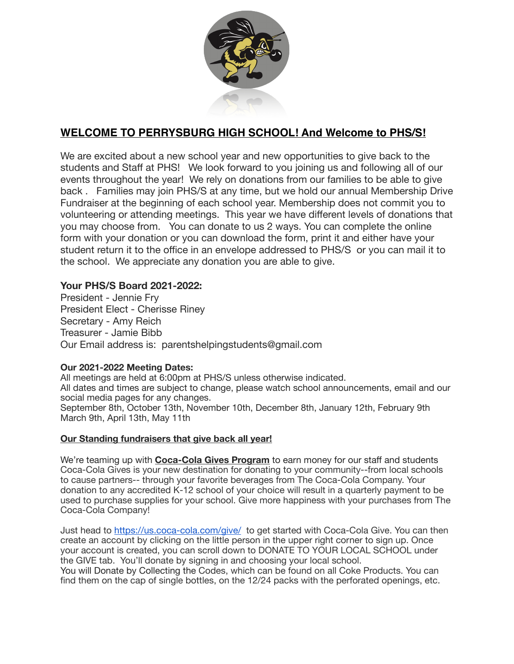

# **WELCOME TO PERRYSBURG HIGH SCHOOL! And Welcome to PHS/S!**

We are excited about a new school year and new opportunities to give back to the students and Staff at PHS! We look forward to you joining us and following all of our events throughout the year! We rely on donations from our families to be able to give back . Families may join PHS/S at any time, but we hold our annual Membership Drive Fundraiser at the beginning of each school year. Membership does not commit you to volunteering or attending meetings. This year we have different levels of donations that you may choose from. You can donate to us 2 ways. You can complete the online form with your donation or you can download the form, print it and either have your student return it to the office in an envelope addressed to PHS/S or you can mail it to the school. We appreciate any donation you are able to give.

## **Your PHS/S Board 2021-2022:**

President - Jennie Fry President Elect - Cherisse Riney Secretary - Amy Reich Treasurer - Jamie Bibb Our Email address is: [parentshelpingstudents@gmail.com](mailto:jhpoperrysburg@gmail.com)

### **Our 2021-2022 Meeting Dates:**

All meetings are held at 6:00pm at PHS/S unless otherwise indicated. All dates and times are subject to change, please watch school announcements, email and our social media pages for any changes. September 8th, October 13th, November 10th, December 8th, January 12th, February 9th March 9th, April 13th, May 11th

#### **Our Standing fundraisers that give back all year!**

We're teaming up with **Coca-Cola Gives Program** to earn money for our staff and students Coca-Cola Gives is your new destination for donating to your community--from local schools to cause partners-- through your favorite beverages from The Coca-Cola Company. Your donation to any accredited K-12 school of your choice will result in a quarterly payment to be used to purchase supplies for your school. Give more happiness with your purchases from The Coca-Cola Company!

Just head to <https://us.coca-cola.com/give/> to get started with Coca-Cola Give. You can then create an account by clicking on the little person in the upper right corner to sign up. Once your account is created, you can scroll down to DONATE TO YOUR LOCAL SCHOOL under the GIVE tab. You'll donate by signing in and choosing your local school.

You will Donate by Collecting the Codes, which can be found on all Coke Products. You can find them on the cap of single bottles, on the 12/24 packs with the perforated openings, etc.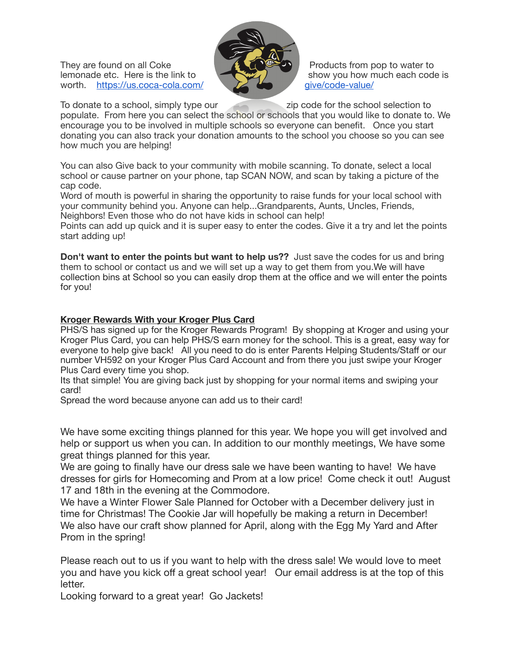They are found on all Coke  $\begin{array}{c} \begin{array}{c} \begin{array}{c} \end{array} \\ \end{array} \\end{array}$  Products from pop to water to show you how much each code worth. [https://us.coca-cola.com/](https://us.coca-cola.com/give/code-value/)



show you how much each code is qive/code-value/

To donate to a school, simply type our zip code for the school selection to populate. From here you can select the school or schools that you would like to donate to. We encourage you to be involved in multiple schools so everyone can benefit. Once you start donating you can also track your donation amounts to the school you choose so you can see how much you are helping!

You can also Give back to your community with mobile scanning. To donate, select a local school or cause partner on your phone, tap SCAN NOW, and scan by taking a picture of the cap code.

Word of mouth is powerful in sharing the opportunity to raise funds for your local school with your community behind you. Anyone can help...Grandparents, Aunts, Uncles, Friends, Neighbors! Even those who do not have kids in school can help!

Points can add up quick and it is super easy to enter the codes. Give it a try and let the points start adding up!

**Don't want to enter the points but want to help us??** Just save the codes for us and bring them to school or contact us and we will set up a way to get them from you.We will have collection bins at School so you can easily drop them at the office and we will enter the points for you!

### **Kroger Rewards With your Kroger Plus Card**

PHS/S has signed up for the Kroger Rewards Program! By shopping at Kroger and using your Kroger Plus Card, you can help PHS/S earn money for the school. This is a great, easy way for everyone to help give back! All you need to do is enter Parents Helping Students/Staff or our number VH592 on your Kroger Plus Card Account and from there you just swipe your Kroger Plus Card every time you shop.

Its that simple! You are giving back just by shopping for your normal items and swiping your card!

Spread the word because anyone can add us to their card!

We have some exciting things planned for this year. We hope you will get involved and help or support us when you can. In addition to our monthly meetings, We have some great things planned for this year.

We are going to finally have our dress sale we have been wanting to have! We have dresses for girls for Homecoming and Prom at a low price! Come check it out! August 17 and 18th in the evening at the Commodore.

We have a Winter Flower Sale Planned for October with a December delivery just in time for Christmas! The Cookie Jar will hopefully be making a return in December! We also have our craft show planned for April, along with the Egg My Yard and After Prom in the spring!

Please reach out to us if you want to help with the dress sale! We would love to meet you and have you kick off a great school year! Our email address is at the top of this letter.

Looking forward to a great year! Go Jackets!